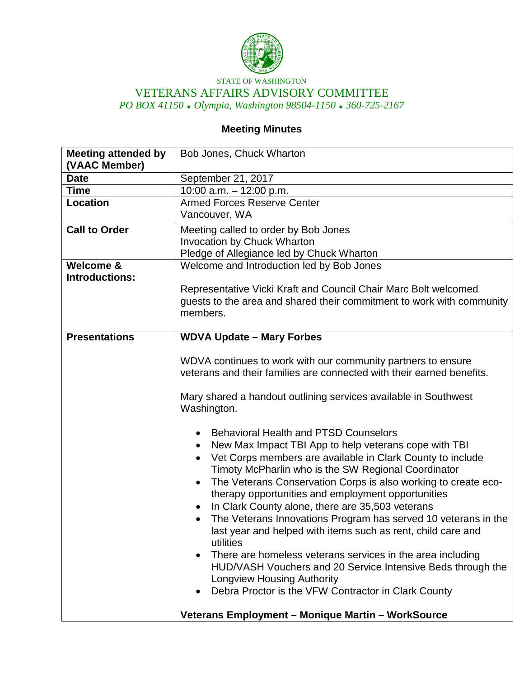

STATE OF WASHINGTON VETERANS AFFAIRS ADVISORY COMMITTEE *PO BOX 41150 Olympia, Washington 98504-1150 360-725-2167*

## **Meeting Minutes**

| <b>Meeting attended by</b><br>(VAAC Member) | Bob Jones, Chuck Wharton                                                                                                                                                                                                                                                                                                                                                                                                                                                                                                                                                                                                                                                                                                                                                                                                |
|---------------------------------------------|-------------------------------------------------------------------------------------------------------------------------------------------------------------------------------------------------------------------------------------------------------------------------------------------------------------------------------------------------------------------------------------------------------------------------------------------------------------------------------------------------------------------------------------------------------------------------------------------------------------------------------------------------------------------------------------------------------------------------------------------------------------------------------------------------------------------------|
| <b>Date</b>                                 | September 21, 2017                                                                                                                                                                                                                                                                                                                                                                                                                                                                                                                                                                                                                                                                                                                                                                                                      |
| <b>Time</b>                                 | 10:00 a.m. $-$ 12:00 p.m.                                                                                                                                                                                                                                                                                                                                                                                                                                                                                                                                                                                                                                                                                                                                                                                               |
| Location                                    | <b>Armed Forces Reserve Center</b>                                                                                                                                                                                                                                                                                                                                                                                                                                                                                                                                                                                                                                                                                                                                                                                      |
|                                             | Vancouver, WA                                                                                                                                                                                                                                                                                                                                                                                                                                                                                                                                                                                                                                                                                                                                                                                                           |
| <b>Call to Order</b>                        | Meeting called to order by Bob Jones                                                                                                                                                                                                                                                                                                                                                                                                                                                                                                                                                                                                                                                                                                                                                                                    |
|                                             | <b>Invocation by Chuck Wharton</b>                                                                                                                                                                                                                                                                                                                                                                                                                                                                                                                                                                                                                                                                                                                                                                                      |
|                                             | Pledge of Allegiance led by Chuck Wharton                                                                                                                                                                                                                                                                                                                                                                                                                                                                                                                                                                                                                                                                                                                                                                               |
| Welcome &                                   | Welcome and Introduction led by Bob Jones                                                                                                                                                                                                                                                                                                                                                                                                                                                                                                                                                                                                                                                                                                                                                                               |
| <b>Introductions:</b>                       | Representative Vicki Kraft and Council Chair Marc Bolt welcomed<br>guests to the area and shared their commitment to work with community<br>members.                                                                                                                                                                                                                                                                                                                                                                                                                                                                                                                                                                                                                                                                    |
| <b>Presentations</b>                        | <b>WDVA Update - Mary Forbes</b>                                                                                                                                                                                                                                                                                                                                                                                                                                                                                                                                                                                                                                                                                                                                                                                        |
|                                             | WDVA continues to work with our community partners to ensure<br>veterans and their families are connected with their earned benefits.<br>Mary shared a handout outlining services available in Southwest<br>Washington.<br><b>Behavioral Health and PTSD Counselors</b><br>New Max Impact TBI App to help veterans cope with TBI<br>$\bullet$<br>Vet Corps members are available in Clark County to include<br>$\bullet$<br>Timoty McPharlin who is the SW Regional Coordinator<br>The Veterans Conservation Corps is also working to create eco-<br>$\bullet$<br>therapy opportunities and employment opportunities<br>In Clark County alone, there are 35,503 veterans<br>The Veterans Innovations Program has served 10 veterans in the<br>last year and helped with items such as rent, child care and<br>utilities |
|                                             | There are homeless veterans services in the area including<br>HUD/VASH Vouchers and 20 Service Intensive Beds through the<br><b>Longview Housing Authority</b><br>Debra Proctor is the VFW Contractor in Clark County                                                                                                                                                                                                                                                                                                                                                                                                                                                                                                                                                                                                   |
|                                             | Veterans Employment - Monique Martin - WorkSource                                                                                                                                                                                                                                                                                                                                                                                                                                                                                                                                                                                                                                                                                                                                                                       |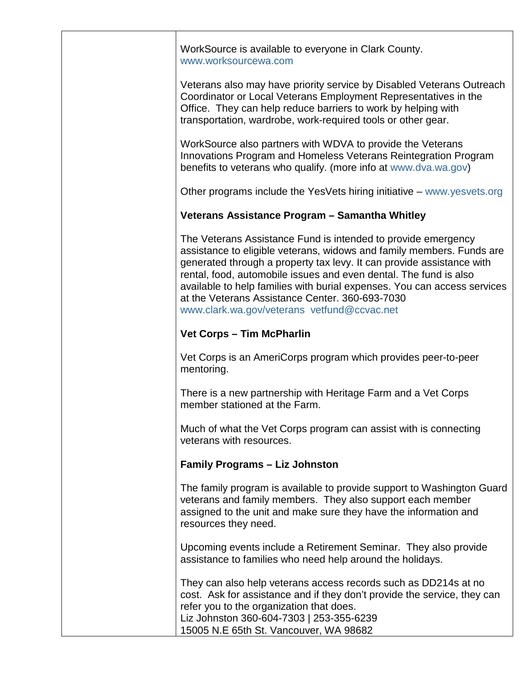WorkSource is available to everyone in Clark County. [www.worksourcewa.com](http://www.worksourcewa.com/) Veterans also may have priority service by Disabled Veterans Outreach Coordinator or Local Veterans Employment Representatives in the Office. They can help reduce barriers to work by helping with transportation, wardrobe, work-required tools or other gear. WorkSource also partners with WDVA to provide the Veterans Innovations Program and Homeless Veterans Reintegration Program benefits to veterans who qualify. (more info at [www.dva.wa.gov\)](http://www.dva.wa.gov/) Other programs include the YesVets hiring initiative – [www.yesvets.org](http://www.yesvets.org/) **Veterans Assistance Program – Samantha Whitley**  The Veterans Assistance Fund is intended to provide emergency assistance to eligible veterans, widows and family members. Funds are generated through a property tax levy. It can provide assistance with rental, food, automobile issues and even dental. The fund is also available to help families with burial expenses. You can access services at the Veterans Assistance Center. 360-693-7030 [www.clark.wa.gov/veterans](http://www.clark.wa.gov/veterans) [vetfund@ccvac.net](mailto:vetfund@ccvac.net) **Vet Corps – Tim McPharlin** Vet Corps is an AmeriCorps program which provides peer-to-peer mentoring. There is a new partnership with Heritage Farm and a Vet Corps member stationed at the Farm. Much of what the Vet Corps program can assist with is connecting veterans with resources. **Family Programs – Liz Johnston** The family program is available to provide support to Washington Guard veterans and family members. They also support each member assigned to the unit and make sure they have the information and resources they need. Upcoming events include a Retirement Seminar. They also provide assistance to families who need help around the holidays. They can also help veterans access records such as DD214s at no cost. Ask for assistance and if they don't provide the service, they can refer you to the organization that does. Liz Johnston 360-604-7303 | 253-355-6239 15005 N.E 65th St. Vancouver, WA 98682